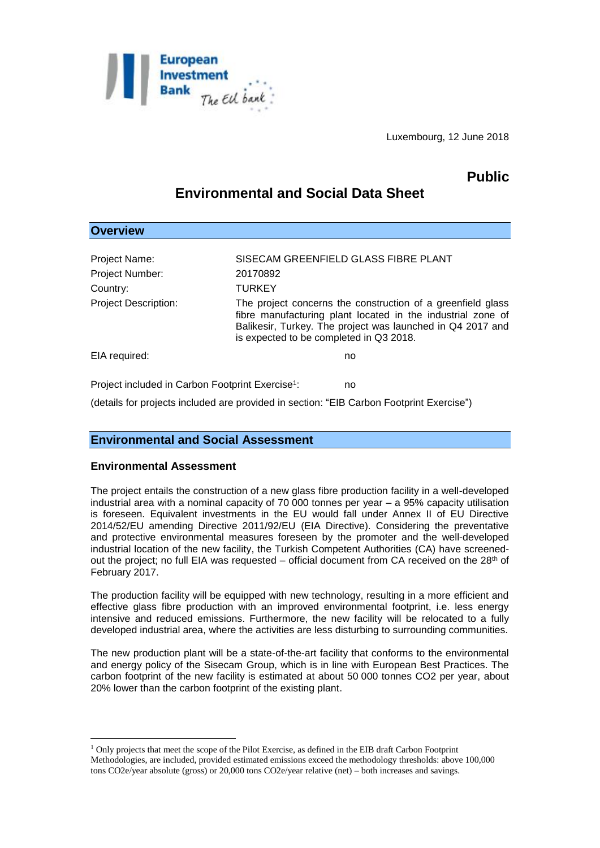

Luxembourg, 12 June 2018

# **Public**

## **Environmental and Social Data Sheet**

| <b>Overview</b>                                                    |                                                                                                                                                                                                                                     |
|--------------------------------------------------------------------|-------------------------------------------------------------------------------------------------------------------------------------------------------------------------------------------------------------------------------------|
| Project Name:                                                      | SISECAM GREENFIELD GLASS FIBRE PLANT                                                                                                                                                                                                |
| <b>Project Number:</b>                                             | 20170892                                                                                                                                                                                                                            |
| Country:                                                           | <b>TURKEY</b>                                                                                                                                                                                                                       |
| <b>Project Description:</b>                                        | The project concerns the construction of a greenfield glass<br>fibre manufacturing plant located in the industrial zone of<br>Balikesir, Turkey. The project was launched in Q4 2017 and<br>is expected to be completed in Q3 2018. |
| EIA required:                                                      | no                                                                                                                                                                                                                                  |
| Project included in Carbon Footprint Exercise <sup>1</sup> :<br>no |                                                                                                                                                                                                                                     |

(details for projects included are provided in section: "EIB Carbon Footprint Exercise")

## **Environmental and Social Assessment**

#### **Environmental Assessment**

1

The project entails the construction of a new glass fibre production facility in a well-developed industrial area with a nominal capacity of 70 000 tonnes per year – a 95% capacity utilisation is foreseen. Equivalent investments in the EU would fall under Annex II of EU Directive 2014/52/EU amending Directive 2011/92/EU (EIA Directive). Considering the preventative and protective environmental measures foreseen by the promoter and the well-developed industrial location of the new facility, the Turkish Competent Authorities (CA) have screenedout the project; no full EIA was requested – official document from CA received on the 28<sup>th</sup> of February 2017.

The production facility will be equipped with new technology, resulting in a more efficient and effective glass fibre production with an improved environmental footprint, i.e. less energy intensive and reduced emissions. Furthermore, the new facility will be relocated to a fully developed industrial area, where the activities are less disturbing to surrounding communities.

The new production plant will be a state-of-the-art facility that conforms to the environmental and energy policy of the Sisecam Group, which is in line with European Best Practices. The carbon footprint of the new facility is estimated at about 50 000 tonnes CO2 per year, about 20% lower than the carbon footprint of the existing plant.

<sup>1</sup> Only projects that meet the scope of the Pilot Exercise, as defined in the EIB draft Carbon Footprint Methodologies, are included, provided estimated emissions exceed the methodology thresholds: above 100,000 tons CO2e/year absolute (gross) or 20,000 tons CO2e/year relative (net) – both increases and savings.